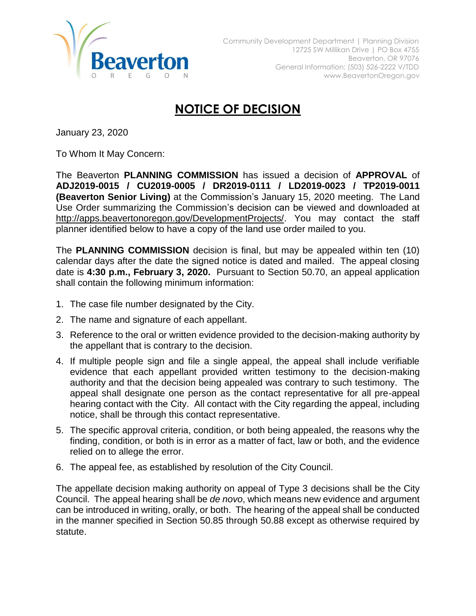

## **NOTICE OF DECISION**

January 23, 2020

To Whom It May Concern:

The Beaverton **PLANNING COMMISSION** has issued a decision of **APPROVAL** of **ADJ2019-0015 / CU2019-0005 / DR2019-0111 / LD2019-0023 / TP2019-0011 (Beaverton Senior Living)** at the Commission's January 15, 2020 meeting. The Land Use Order summarizing the Commission's decision can be viewed and downloaded at [http://apps.beavertonoregon.gov/DevelopmentProjects/.](http://apps.beavertonoregon.gov/DevelopmentProjects/) You may contact the staff planner identified below to have a copy of the land use order mailed to you.

The **PLANNING COMMISSION** decision is final, but may be appealed within ten (10) calendar days after the date the signed notice is dated and mailed. The appeal closing date is **4:30 p.m., February 3, 2020.** Pursuant to Section 50.70, an appeal application shall contain the following minimum information:

- 1. The case file number designated by the City.
- 2. The name and signature of each appellant.
- 3. Reference to the oral or written evidence provided to the decision-making authority by the appellant that is contrary to the decision.
- 4. If multiple people sign and file a single appeal, the appeal shall include verifiable evidence that each appellant provided written testimony to the decision-making authority and that the decision being appealed was contrary to such testimony. The appeal shall designate one person as the contact representative for all pre-appeal hearing contact with the City. All contact with the City regarding the appeal, including notice, shall be through this contact representative.
- 5. The specific approval criteria, condition, or both being appealed, the reasons why the finding, condition, or both is in error as a matter of fact, law or both, and the evidence relied on to allege the error.
- 6. The appeal fee, as established by resolution of the City Council.

The appellate decision making authority on appeal of Type 3 decisions shall be the City Council. The appeal hearing shall be *de novo*, which means new evidence and argument can be introduced in writing, orally, or both. The hearing of the appeal shall be conducted in the manner specified in Section 50.85 through 50.88 except as otherwise required by statute.